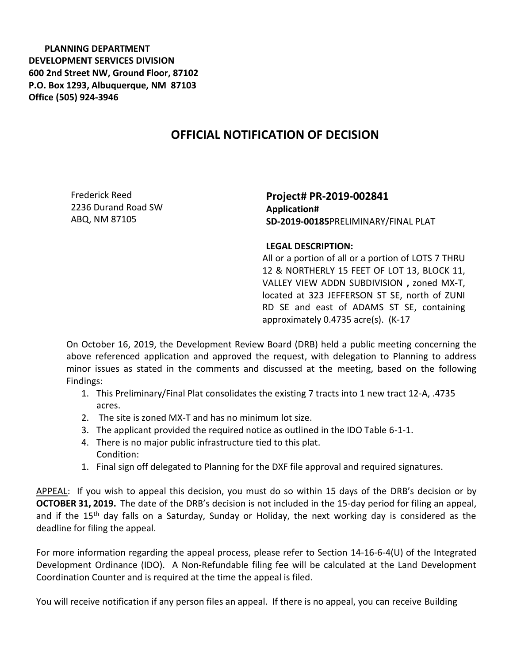**PLANNING DEPARTMENT DEVELOPMENT SERVICES DIVISION 600 2nd Street NW, Ground Floor, 87102 P.O. Box 1293, Albuquerque, NM 87103 Office (505) 924-3946** 

## **OFFICIAL NOTIFICATION OF DECISION**

Frederick Reed 2236 Durand Road SW ABQ, NM 87105

**Project# PR-2019-002841 Application# SD-2019-00185**PRELIMINARY/FINAL PLAT

## **LEGAL DESCRIPTION:**

All or a portion of all or a portion of LOTS 7 THRU 12 & NORTHERLY 15 FEET OF LOT 13, BLOCK 11, VALLEY VIEW ADDN SUBDIVISION **,** zoned MX-T, located at 323 JEFFERSON ST SE, north of ZUNI RD SE and east of ADAMS ST SE, containing approximately 0.4735 acre(s). (K-17

On October 16, 2019, the Development Review Board (DRB) held a public meeting concerning the above referenced application and approved the request, with delegation to Planning to address minor issues as stated in the comments and discussed at the meeting, based on the following Findings:

- 1. This Preliminary/Final Plat consolidates the existing 7 tracts into 1 new tract 12-A, .4735 acres.
- 2. The site is zoned MX-T and has no minimum lot size.
- 3. The applicant provided the required notice as outlined in the IDO Table 6-1-1.
- 4. There is no major public infrastructure tied to this plat. Condition:
- 1. Final sign off delegated to Planning for the DXF file approval and required signatures.

APPEAL: If you wish to appeal this decision, you must do so within 15 days of the DRB's decision or by **OCTOBER 31, 2019.** The date of the DRB's decision is not included in the 15-day period for filing an appeal, and if the 15<sup>th</sup> day falls on a Saturday, Sunday or Holiday, the next working day is considered as the deadline for filing the appeal.

For more information regarding the appeal process, please refer to Section 14-16-6-4(U) of the Integrated Development Ordinance (IDO). A Non-Refundable filing fee will be calculated at the Land Development Coordination Counter and is required at the time the appeal is filed.

You will receive notification if any person files an appeal. If there is no appeal, you can receive Building